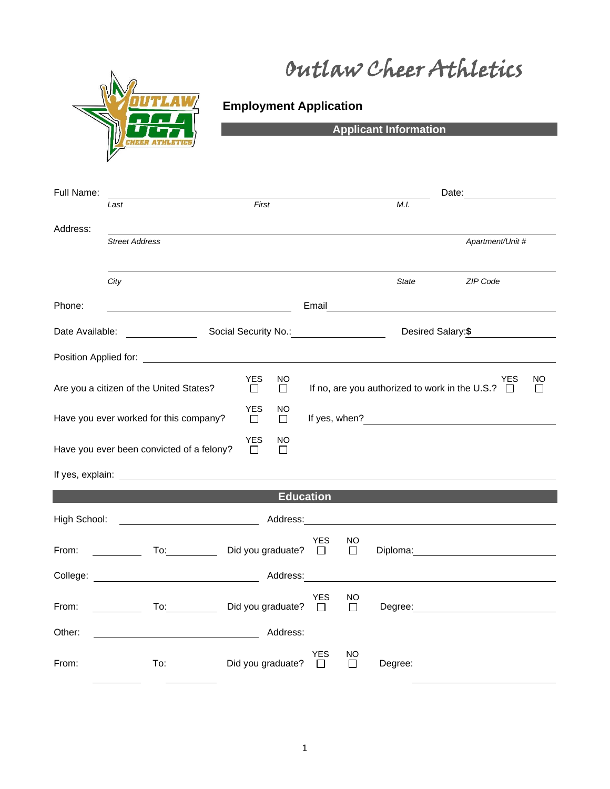Outlaw Cheer Athletics



## **Employment Application**

**Applicant Information**

| Full Name:                                                              |                                                                                                                                                                                                                                |                                       |                  |              |         |                                                                                                               |                    |
|-------------------------------------------------------------------------|--------------------------------------------------------------------------------------------------------------------------------------------------------------------------------------------------------------------------------|---------------------------------------|------------------|--------------|---------|---------------------------------------------------------------------------------------------------------------|--------------------|
|                                                                         | Last                                                                                                                                                                                                                           | First                                 |                  |              | M.I.    |                                                                                                               |                    |
| Address:                                                                |                                                                                                                                                                                                                                |                                       |                  |              |         |                                                                                                               |                    |
|                                                                         | <b>Street Address</b>                                                                                                                                                                                                          |                                       |                  |              |         | Apartment/Unit #                                                                                              |                    |
|                                                                         |                                                                                                                                                                                                                                |                                       |                  |              |         |                                                                                                               |                    |
|                                                                         | City                                                                                                                                                                                                                           |                                       |                  |              | State   | ZIP Code                                                                                                      |                    |
| Phone:                                                                  |                                                                                                                                                                                                                                |                                       |                  |              |         | Email and the contract of the contract of the contract of the contract of the contract of the contract of the |                    |
| Date Available:                                                         |                                                                                                                                                                                                                                |                                       |                  |              |         | Desired Salary: \$                                                                                            |                    |
|                                                                         | Position Applied for: The Contract of the Contract of the Contract of the Contract of the Contract of the Contract of the Contract of the Contract of the Contract of the Contract of the Contract of the Contract of the Cont |                                       |                  |              |         |                                                                                                               |                    |
|                                                                         | Are you a citizen of the United States?                                                                                                                                                                                        | <b>YES</b><br>NO.<br>$\Box$<br>$\Box$ |                  |              |         | <b>YES</b><br>If no, are you authorized to work in the U.S.? $\Box$                                           | NO<br>$\mathbf{I}$ |
|                                                                         | Have you ever worked for this company?                                                                                                                                                                                         | <b>YES</b><br>NO<br>$\Box$<br>$\Box$  |                  |              |         | If yes, when?<br><u>Example 2001</u>                                                                          |                    |
| <b>YES</b><br>NO<br>Have you ever been convicted of a felony?<br>П<br>П |                                                                                                                                                                                                                                |                                       |                  |              |         |                                                                                                               |                    |
|                                                                         |                                                                                                                                                                                                                                |                                       |                  |              |         |                                                                                                               |                    |
|                                                                         |                                                                                                                                                                                                                                |                                       | <b>Education</b> |              |         |                                                                                                               |                    |
| High School:                                                            | <u> 1980 - Johann Barbara, martin d</u>                                                                                                                                                                                        |                                       | Address: 2008    |              |         |                                                                                                               |                    |
| From:                                                                   |                                                                                                                                                                                                                                | Did you graduate? $\Box$              | YES              | NO<br>$\Box$ |         |                                                                                                               |                    |
|                                                                         |                                                                                                                                                                                                                                |                                       |                  |              |         |                                                                                                               |                    |
| From:                                                                   | <u>a sa mga salawang pangangang pangangang pangangang pangangang pangangang pangangang pangangang pangang pangang</u>                                                                                                          | Did you graduate? $\Box$              | <b>YES</b>       | NO<br>$\Box$ |         | Degree: <u>______________________________</u>                                                                 |                    |
| Other:                                                                  | <u> 1989 - Johann Barnett, fransk politiker (</u>                                                                                                                                                                              | Address:                              |                  |              |         |                                                                                                               |                    |
| From:                                                                   | To:                                                                                                                                                                                                                            | Did you graduate?                     | YES<br>$\Box$    | NO<br>$\Box$ | Degree: |                                                                                                               |                    |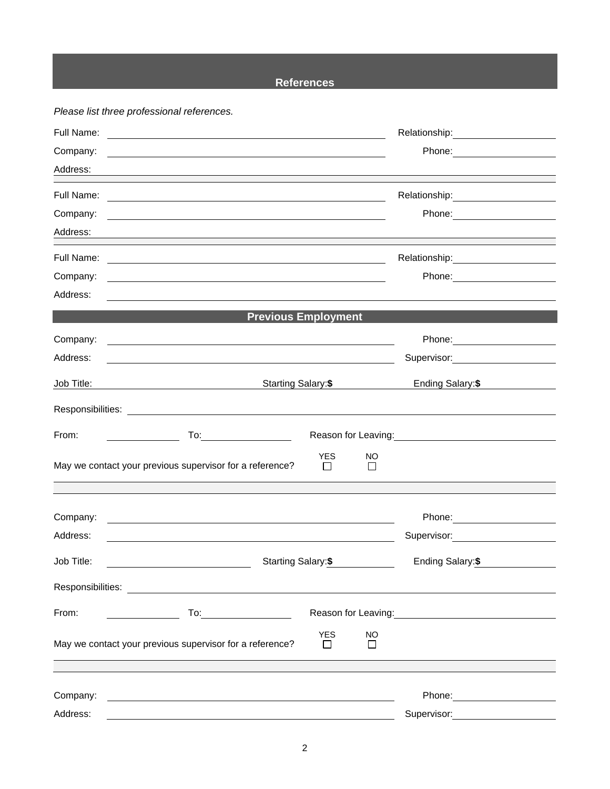## **References**

*Please list three professional references.*

| Full Name: | <u> 1980 - Johann Harry Barn, mars and deutscher Programment († 1952)</u>                                                                                                                                                           |                       |                |                                                                                                                                                                                                                                        |
|------------|-------------------------------------------------------------------------------------------------------------------------------------------------------------------------------------------------------------------------------------|-----------------------|----------------|----------------------------------------------------------------------------------------------------------------------------------------------------------------------------------------------------------------------------------------|
| Company:   |                                                                                                                                                                                                                                     |                       |                | Phone: ________________________                                                                                                                                                                                                        |
| Address:   | <u> 1989 - Johann Stoff, amerikansk politiker (* 1908)</u>                                                                                                                                                                          |                       |                |                                                                                                                                                                                                                                        |
| Full Name: | <u> 1989 - Johann Stoff, deutscher Stoffen und der Stoffen und der Stoffen und der Stoffen und der Stoffen und der</u>                                                                                                              |                       |                | Relationship: ______________________                                                                                                                                                                                                   |
| Company:   | <u> 1989 - Johann Stoff, fransk politik (d. 1989)</u>                                                                                                                                                                               |                       |                | Phone: ________________________                                                                                                                                                                                                        |
| Address:   |                                                                                                                                                                                                                                     |                       |                |                                                                                                                                                                                                                                        |
| Full Name: | <u> 1989 - Andrea Stadt Britain, amerikansk politiker (</u>                                                                                                                                                                         |                       |                |                                                                                                                                                                                                                                        |
| Company:   | and the control of the control of the control of the control of the control of the control of the control of the                                                                                                                    |                       |                |                                                                                                                                                                                                                                        |
| Address:   |                                                                                                                                                                                                                                     |                       |                |                                                                                                                                                                                                                                        |
|            | <b>Previous Employment</b>                                                                                                                                                                                                          |                       |                |                                                                                                                                                                                                                                        |
| Company:   | <u> 1989 - Johann John Stone, markin film yn y brenin y brenin y brenin y brenin y brenin y brenin y brenin y br</u>                                                                                                                |                       |                |                                                                                                                                                                                                                                        |
| Address:   |                                                                                                                                                                                                                                     |                       |                | Supervisor: 2000                                                                                                                                                                                                                       |
| Job Title: | Starting Salary:\$<br><u> 1989 - Johann Stoff, deutscher Stoffen und der Stoffen und der Stoffen und der Stoffen und der Stoffen und der</u>                                                                                        |                       |                | Ending Salary: \$                                                                                                                                                                                                                      |
|            |                                                                                                                                                                                                                                     |                       |                |                                                                                                                                                                                                                                        |
| From:      | <u> Albanya (Albanya)</u>                                                                                                                                                                                                           |                       |                | Reason for Leaving:<br><u> Reason</u> for Leaving:                                                                                                                                                                                     |
|            | May we contact your previous supervisor for a reference?                                                                                                                                                                            | <b>YES</b><br>$\perp$ | NO.<br>$\perp$ |                                                                                                                                                                                                                                        |
|            |                                                                                                                                                                                                                                     |                       |                |                                                                                                                                                                                                                                        |
|            |                                                                                                                                                                                                                                     |                       |                |                                                                                                                                                                                                                                        |
| Company:   | <u> 1989 - Johann Stoff, deutscher Stoffen und der Stoffen und der Stoffen und der Stoffen und der Stoffen und der</u>                                                                                                              |                       |                | Phone: ________________________                                                                                                                                                                                                        |
| Address:   |                                                                                                                                                                                                                                     |                       |                | Supervisor: Victor Contract Contract Contract Contract Contract Contract Contract Contract Contract Contract Co                                                                                                                        |
| Job Title: | Starting Salary: \$                                                                                                                                                                                                                 |                       |                | Ending Salary:\$                                                                                                                                                                                                                       |
|            |                                                                                                                                                                                                                                     |                       |                |                                                                                                                                                                                                                                        |
| From:      | <b>To:</b> the contract of the contract of the contract of the contract of the contract of the contract of the contract of the contract of the contract of the contract of the contract of the contract of the contract of the cont |                       |                | Reason for Leaving:<br><u>Next and the manual contract of the set of the set of the set of the set of the set of the set of the set of the set of the set of the set of the set of the set of the set of the set of the set of the</u> |
|            | May we contact your previous supervisor for a reference?                                                                                                                                                                            | <b>YES</b><br>l 1     | NO             |                                                                                                                                                                                                                                        |
|            |                                                                                                                                                                                                                                     |                       |                |                                                                                                                                                                                                                                        |
| Company:   |                                                                                                                                                                                                                                     |                       |                |                                                                                                                                                                                                                                        |
| Address:   |                                                                                                                                                                                                                                     |                       |                | Supervisor:                                                                                                                                                                                                                            |